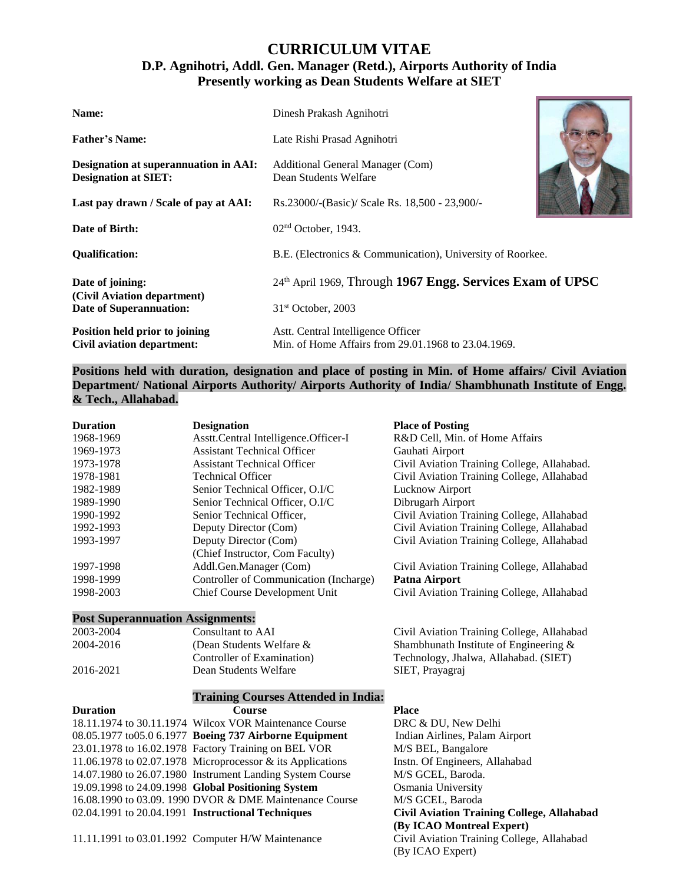# **CURRICULUM VITAE**

# **D.P. Agnihotri, Addl. Gen. Manager (Retd.), Airports Authority of India Presently working as Dean Students Welfare at SIET**

| Name:                                                                | Dinesh Prakash Agnihotri                                                                  |  |
|----------------------------------------------------------------------|-------------------------------------------------------------------------------------------|--|
| <b>Father's Name:</b>                                                | Late Rishi Prasad Agnihotri                                                               |  |
| Designation at superannuation in AAI:<br><b>Designation at SIET:</b> | Additional General Manager (Com)<br>Dean Students Welfare                                 |  |
| Last pay drawn / Scale of pay at AAI:                                | Rs.23000/-(Basic)/ Scale Rs. 18,500 - 23,900/-                                            |  |
| Date of Birth:                                                       | $02nd$ October, 1943.                                                                     |  |
| <b>Oualification:</b>                                                | B.E. (Electronics & Communication), University of Roorkee.                                |  |
| Date of joining:                                                     | 24th April 1969, Through 1967 Engg. Services Exam of UPSC                                 |  |
| (Civil Aviation department)<br>Date of Superannuation:               | $31st$ October, 2003                                                                      |  |
| Position held prior to joining<br>Civil aviation department:         | Astt. Central Intelligence Officer<br>Min. of Home Affairs from 29.01.1968 to 23.04.1969. |  |

## **Positions held with duration, designation and place of posting in Min. of Home affairs/ Civil Aviation Department/ National Airports Authority/ Airports Authority of India/ Shambhunath Institute of Engg. & Tech., Allahabad.**

| <b>Duration</b> | <b>Designation</b>                     | <b>Place of Posting</b>                     |
|-----------------|----------------------------------------|---------------------------------------------|
| 1968-1969       | Asstt.Central Intelligence.Officer-I   | R&D Cell, Min. of Home Affairs              |
| 1969-1973       | <b>Assistant Technical Officer</b>     | Gauhati Airport                             |
| 1973-1978       | <b>Assistant Technical Officer</b>     | Civil Aviation Training College, Allahabad. |
| 1978-1981       | <b>Technical Officer</b>               | Civil Aviation Training College, Allahabad  |
| 1982-1989       | Senior Technical Officer, O.I/C        | Lucknow Airport                             |
| 1989-1990       | Senior Technical Officer, O.I/C        | Dibrugarh Airport                           |
| 1990-1992       | Senior Technical Officer,              | Civil Aviation Training College, Allahabad  |
| 1992-1993       | Deputy Director (Com)                  | Civil Aviation Training College, Allahabad  |
| 1993-1997       | Deputy Director (Com)                  | Civil Aviation Training College, Allahabad  |
|                 | (Chief Instructor, Com Faculty)        |                                             |
| 1997-1998       | Addl.Gen.Manager (Com)                 | Civil Aviation Training College, Allahabad  |
| 1998-1999       | Controller of Communication (Incharge) | Patna Airport                               |
| 1998-2003       | Chief Course Development Unit          | Civil Aviation Training College, Allahabad  |

# **Post Superannuation Assignments:**

| 2003-2004 | Consultant to AAI           | Civil Aviation Training College, Allahabad |
|-----------|-----------------------------|--------------------------------------------|
| 2004-2016 | (Dean Students Welfare $\&$ | Shambhunath Institute of Engineering $\&$  |
|           | Controller of Examination)  | Technology, Jhalwa, Allahabad. (SIET)      |
| 2016-2021 | Dean Students Welfare       | SIET, Prayagraj                            |
|           |                             |                                            |

## **Training Courses Attended in India:**

| Duration | <b>Course</b>                                              | Place        |
|----------|------------------------------------------------------------|--------------|
|          | 18.11.1974 to 30.11.1974 Wilcox VOR Maintenance Course     | <b>DRC</b>   |
|          | 08.05.1977 to05.0 6.1977 Boeing 737 Airborne Equipment     | India        |
|          | 23.01.1978 to 16.02.1978 Factory Training on BEL VOR       | M/SI         |
|          | 11.06.1978 to 02.07.1978 Microprocessor & its Applications | Instn.       |
|          | 14.07.1980 to 26.07.1980 Instrument Landing System Course  | M/S          |
|          | 19.09.1998 to 24.09.1998 Global Positioning System         | Osma         |
|          | 16.08.1990 to 03.09. 1990 DVOR & DME Maintenance Course    | M/S          |
|          | 02.04.1991 to 20.04.1991 Instructional Techniques          | <b>Civil</b> |

11.11.1991 to 03.01.1992 Computer H/W Maintenance Civil Aviation Training College, Allahabad

DRC & DU, New Delhi 08.05.1977 to05.0 6.1977 **Boeing 737 Airborne Equipment** Indian Airlines, Palam Airport M/S BEL, Bangalore Instn. Of Engineers, Allahabad M/S GCEL, Baroda. 19.09.1998 to 24.09.1998 **Global Positioning System** Osmania University M/S GCEL, Baroda 02.04.1991 to 20.04.1991 **Instructional Techniques Civil Aviation Training College, Allahabad (By ICAO Montreal Expert)** (By ICAO Expert)